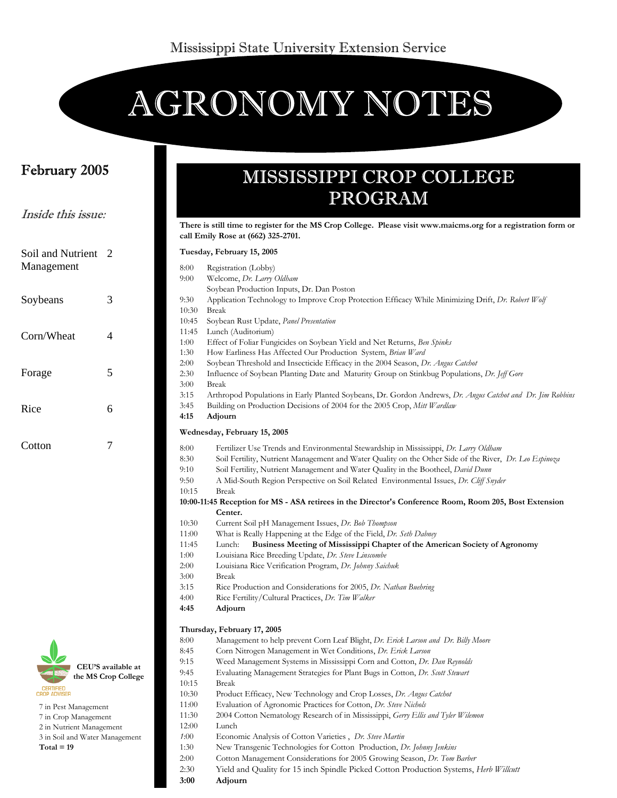# AGRONOMY NOTES

### February 2005

Inside this issue:

# MISSISSIPPI CROP COLLEGE PROGRAM

|                                                                                                                     |                                           |                                                                                                                  | There is still time to register for the MS Crop College. Please visit www.maicms.org for a registration form or<br>call Emily Rose at (662) 325-2701.                                                                                                                                                                                                                                                                                                                                                                                                                                                                                                                                                                                                                                                                                                                                                                                                                                                   |  |  |  |
|---------------------------------------------------------------------------------------------------------------------|-------------------------------------------|------------------------------------------------------------------------------------------------------------------|---------------------------------------------------------------------------------------------------------------------------------------------------------------------------------------------------------------------------------------------------------------------------------------------------------------------------------------------------------------------------------------------------------------------------------------------------------------------------------------------------------------------------------------------------------------------------------------------------------------------------------------------------------------------------------------------------------------------------------------------------------------------------------------------------------------------------------------------------------------------------------------------------------------------------------------------------------------------------------------------------------|--|--|--|
| Soil and Nutrient 2                                                                                                 |                                           | Tuesday, February 15, 2005                                                                                       |                                                                                                                                                                                                                                                                                                                                                                                                                                                                                                                                                                                                                                                                                                                                                                                                                                                                                                                                                                                                         |  |  |  |
| Management                                                                                                          |                                           | 8:00<br>9:00                                                                                                     | Registration (Lobby)<br>Welcome, Dr. Larry Oldham<br>Soybean Production Inputs, Dr. Dan Poston                                                                                                                                                                                                                                                                                                                                                                                                                                                                                                                                                                                                                                                                                                                                                                                                                                                                                                          |  |  |  |
| Soybeans                                                                                                            | 3                                         | 9:30<br>10:30                                                                                                    | Application Technology to Improve Crop Protection Efficacy While Minimizing Drift, Dr. Robert Wolf<br><b>Break</b>                                                                                                                                                                                                                                                                                                                                                                                                                                                                                                                                                                                                                                                                                                                                                                                                                                                                                      |  |  |  |
| Corn/Wheat                                                                                                          | 4                                         | 10:45<br>11:45<br>1:00<br>1:30                                                                                   | Soybean Rust Update, Panel Presentation<br>Lunch (Auditorium)<br>Effect of Foliar Fungicides on Soybean Yield and Net Returns, Ben Spinks<br>How Earliness Has Affected Our Production System, Brian Ward                                                                                                                                                                                                                                                                                                                                                                                                                                                                                                                                                                                                                                                                                                                                                                                               |  |  |  |
| Forage                                                                                                              | 5                                         | 2:00<br>2:30<br>3:00                                                                                             | Soybean Threshold and Insecticide Efficacy in the 2004 Season, Dr. Angus Catchot<br>Influence of Soybean Planting Date and Maturity Group on Stinkbug Populations, Dr. Jeff Gore<br>Break                                                                                                                                                                                                                                                                                                                                                                                                                                                                                                                                                                                                                                                                                                                                                                                                               |  |  |  |
| Rice                                                                                                                | 6                                         | 3:15<br>3:45<br>4:15                                                                                             | Arthropod Populations in Early Planted Soybeans, Dr. Gordon Andrews, Dr. Angus Catchot and Dr. Jim Robbins<br>Building on Production Decisions of 2004 for the 2005 Crop, Mitt Wardlaw<br>Adjourn                                                                                                                                                                                                                                                                                                                                                                                                                                                                                                                                                                                                                                                                                                                                                                                                       |  |  |  |
|                                                                                                                     |                                           |                                                                                                                  | Wednesday, February 15, 2005                                                                                                                                                                                                                                                                                                                                                                                                                                                                                                                                                                                                                                                                                                                                                                                                                                                                                                                                                                            |  |  |  |
| Cotton                                                                                                              | 7                                         | 8:00<br>8:30<br>9:10<br>9:50<br>10:15<br>10:30<br>11:00<br>11:45<br>1:00<br>2:00<br>3:00<br>3:15<br>4:00<br>4:45 | Fertilizer Use Trends and Environmental Stewardship in Mississippi, Dr. Larry Oldham<br>Soil Fertility, Nutrient Management and Water Quality on the Other Side of the River, Dr. Leo Espinoza<br>Soil Fertility, Nutrient Management and Water Quality in the Bootheel, <i>David Dunn</i><br>A Mid-South Region Perspective on Soil Related Environmental Issues, Dr. Cliff Snyder<br>Break<br>10:00-11:45 Reception for MS - ASA retirees in the Director's Conference Room, Room 205, Bost Extension<br>Center.<br>Current Soil pH Management Issues, Dr. Bob Thompson<br>What is Really Happening at the Edge of the Field, Dr. Seth Dabney<br>Business Meeting of Mississippi Chapter of the American Society of Agronomy<br>Lunch:<br>Louisiana Rice Breeding Update, Dr. Steve Linscombe<br>Louisiana Rice Verification Program, Dr. Johnny Saichuk<br>Break<br>Rice Production and Considerations for 2005, Dr. Nathan Buehring<br>Rice Fertility/Cultural Practices, Dr. Tim Walker<br>Adjourn |  |  |  |
| <b>CERTIFIED</b><br><b>CROP ADVISER</b><br>7 in Pest Management<br>7 in Crop Management<br>2 in Nutrient Management | CEU'S available at<br>the MS Crop College | 8:00<br>8:45<br>9:15<br>9:45<br>10:15<br>10:30<br>11:00<br>11:30<br>12:00                                        | Thursday, February 17, 2005<br>Management to help prevent Corn Leaf Blight, Dr. Erick Larson and Dr. Billy Moore<br>Corn Nitrogen Management in Wet Conditions, Dr. Erick Larson<br>Weed Management Systems in Mississippi Corn and Cotton, Dr. Dan Reynolds<br>Evaluating Management Strategies for Plant Bugs in Cotton, Dr. Scott Stewart<br><b>Break</b><br>Product Efficacy, New Technology and Crop Losses, Dr. Angus Catchot<br>Evaluation of Agronomic Practices for Cotton, Dr. Steve Nichols<br>2004 Cotton Nematology Research of in Mississippi, Gerry Ellis and Tyler Wilemon<br>Lunch                                                                                                                                                                                                                                                                                                                                                                                                     |  |  |  |

- 2 in Nutrient Management
- 3 in Soil and Water Management
- **Total = 19**
- *1*:00 Economic Analysis of Cotton Varieties , *Dr. Steve Martin* 1:30New Transgenic Technologies for Cotton Production, *Dr. Johnny Jenkins*
- 2:00 Cotton Management Considerations for 2005 Growing Season, *Dr. Tom Barber*
- 2:30 Yield and Quality for 15 inch Spindle Picked Cotton Production Systems, *Herb Willcutt*
- **3:00 Adjourn**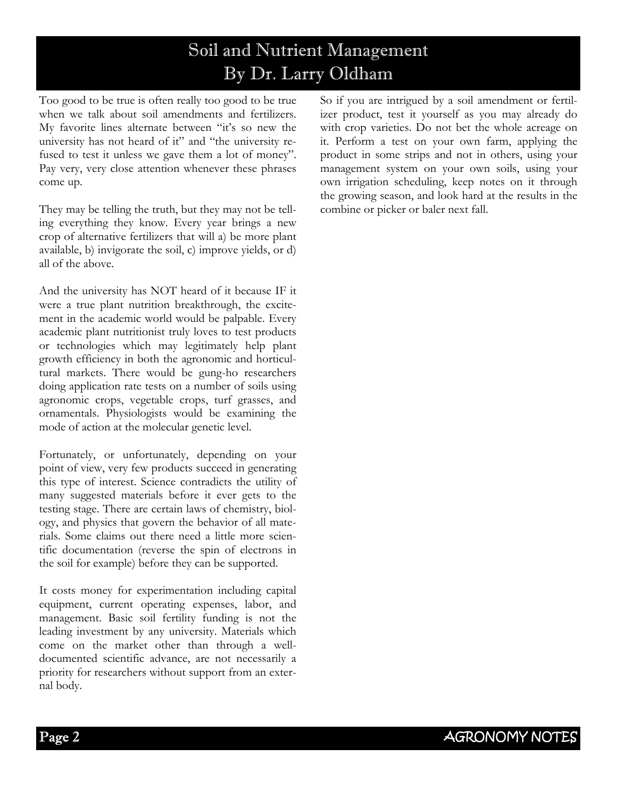# Soil and Nutrient Management By Dr. Larry Oldham

Too good to be true is often really too good to be true when we talk about soil amendments and fertilizers. My favorite lines alternate between "it's so new the university has not heard of it" and "the university refused to test it unless we gave them a lot of money". Pay very, very close attention whenever these phrases come up.

They may be telling the truth, but they may not be telling everything they know. Every year brings a new crop of alternative fertilizers that will a) be more plant available, b) invigorate the soil, c) improve yields, or d) all of the above.

And the university has NOT heard of it because IF it were a true plant nutrition breakthrough, the excitement in the academic world would be palpable. Every academic plant nutritionist truly loves to test products or technologies which may legitimately help plant growth efficiency in both the agronomic and horticultural markets. There would be gung-ho researchers doing application rate tests on a number of soils using agronomic crops, vegetable crops, turf grasses, and ornamentals. Physiologists would be examining the mode of action at the molecular genetic level.

Fortunately, or unfortunately, depending on your point of view, very few products succeed in generating this type of interest. Science contradicts the utility of many suggested materials before it ever gets to the testing stage. There are certain laws of chemistry, biology, and physics that govern the behavior of all materials. Some claims out there need a little more scientific documentation (reverse the spin of electrons in the soil for example) before they can be supported.

It costs money for experimentation including capital equipment, current operating expenses, labor, and management. Basic soil fertility funding is not the leading investment by any university. Materials which come on the market other than through a welldocumented scientific advance, are not necessarily a priority for researchers without support from an external body.

So if you are intrigued by a soil amendment or fertilizer product, test it yourself as you may already do with crop varieties. Do not bet the whole acreage on it. Perform a test on your own farm, applying the product in some strips and not in others, using your management system on your own soils, using your own irrigation scheduling, keep notes on it through the growing season, and look hard at the results in the combine or picker or baler next fall.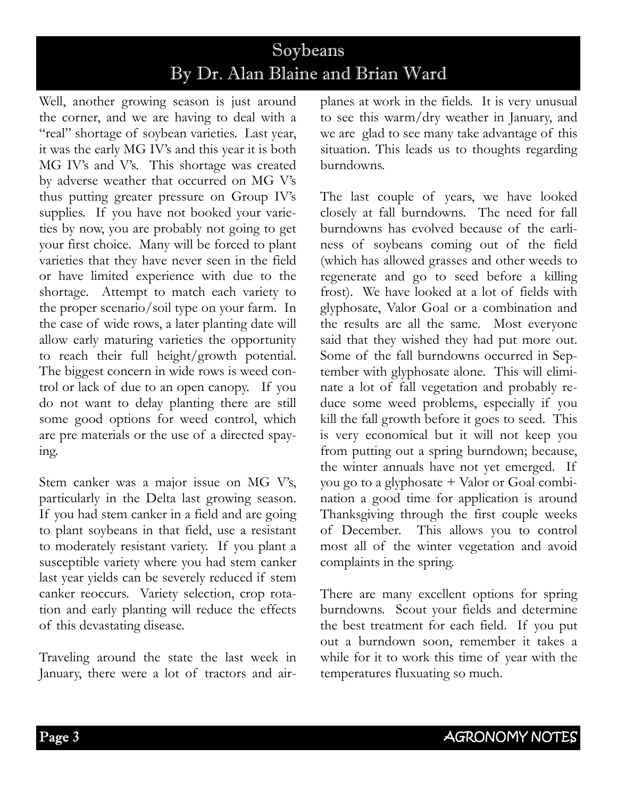# Soybeans By Dr. Alan Blaine and Brian Ward

Well, another growing season is just around the corner, and we are having to deal with a "real" shortage of soybean varieties. Last year, it was the early MG IV's and this year it is both MG IV's and V's. This shortage was created by adverse weather that occurred on MG V's thus putting greater pressure on Group IV's supplies. If you have not booked your varieties by now, you are probably not going to get your first choice. Many will be forced to plant varieties that they have never seen in the field or have limited experience with due to the shortage. Attempt to match each variety to the proper scenario/soil type on your farm. In the case of wide rows, a later planting date will allow early maturing varieties the opportunity to reach their full height/growth potential. The biggest concern in wide rows is weed control or lack of due to an open canopy. If you do not want to delay planting there are still some good options for weed control, which are pre materials or the use of a directed spaying.

Stem canker was a major issue on MG V's, particularly in the Delta last growing season. If you had stem canker in a field and are going to plant soybeans in that field, use a resistant to moderately resistant variety. If you plant a susceptible variety where you had stem canker last year yields can be severely reduced if stem canker reoccurs. Variety selection, crop rotation and early planting will reduce the effects of this devastating disease.

Traveling around the state the last week in January, there were a lot of tractors and airplanes at work in the fields. It is very unusual to see this warm/dry weather in January, and we are glad to see many take advantage of this situation. This leads us to thoughts regarding burndowns.

The last couple of years, we have looked closely at fall burndowns. The need for fall burndowns has evolved because of the earliness of soybeans coming out of the field (which has allowed grasses and other weeds to regenerate and go to seed before a killing frost). We have looked at a lot of fields with glyphosate, Valor Goal or a combination and the results are all the same. Most everyone said that they wished they had put more out. Some of the fall burndowns occurred in September with glyphosate alone. This will eliminate a lot of fall vegetation and probably reduce some weed problems, especially if you kill the fall growth before it goes to seed. This is very economical but it will not keep you from putting out a spring burndown; because, the winter annuals have not yet emerged. If you go to a glyphosate + Valor or Goal combination a good time for application is around Thanksgiving through the first couple weeks of December. This allows you to control most all of the winter vegetation and avoid complaints in the spring.

There are many excellent options for spring burndowns. Scout your fields and determine the best treatment for each field. If you put out a burndown soon, remember it takes a while for it to work this time of year with the temperatures fluxuating so much.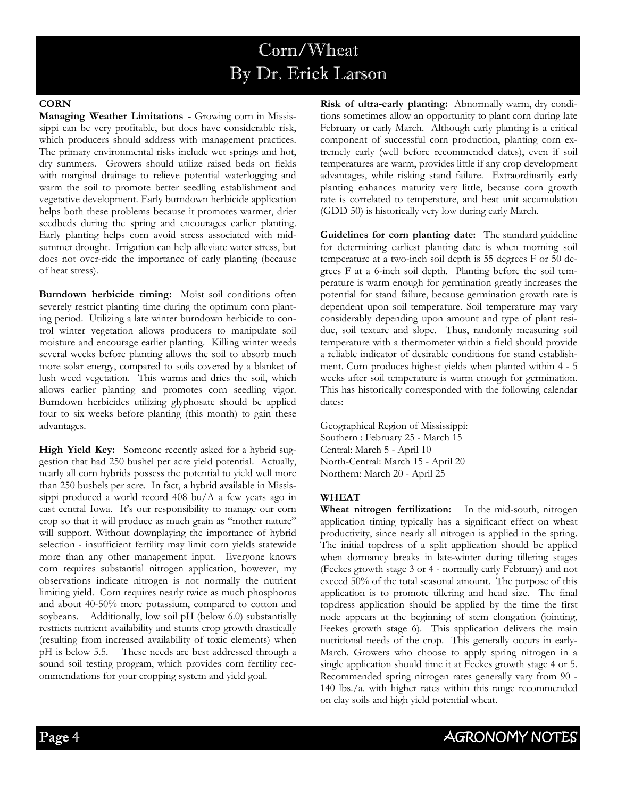# Corn/Wheat By Dr. Erick Larson

#### **CORN**

**Managing Weather Limitations -** Growing corn in Mississippi can be very profitable, but does have considerable risk, which producers should address with management practices. The primary environmental risks include wet springs and hot, dry summers. Growers should utilize raised beds on fields with marginal drainage to relieve potential waterlogging and warm the soil to promote better seedling establishment and vegetative development. Early burndown herbicide application helps both these problems because it promotes warmer, drier seedbeds during the spring and encourages earlier planting. Early planting helps corn avoid stress associated with midsummer drought. Irrigation can help alleviate water stress, but does not over-ride the importance of early planting (because of heat stress).

**Burndown herbicide timing:** Moist soil conditions often severely restrict planting time during the optimum corn planting period. Utilizing a late winter burndown herbicide to control winter vegetation allows producers to manipulate soil moisture and encourage earlier planting. Killing winter weeds several weeks before planting allows the soil to absorb much more solar energy, compared to soils covered by a blanket of lush weed vegetation. This warms and dries the soil, which allows earlier planting and promotes corn seedling vigor. Burndown herbicides utilizing glyphosate should be applied four to six weeks before planting (this month) to gain these advantages.

**High Yield Key:** Someone recently asked for a hybrid suggestion that had 250 bushel per acre yield potential. Actually, nearly all corn hybrids possess the potential to yield well more than 250 bushels per acre. In fact, a hybrid available in Mississippi produced a world record 408 bu/A a few years ago in east central Iowa. It's our responsibility to manage our corn crop so that it will produce as much grain as "mother nature" will support. Without downplaying the importance of hybrid selection - insufficient fertility may limit corn yields statewide more than any other management input. Everyone knows corn requires substantial nitrogen application, however, my observations indicate nitrogen is not normally the nutrient limiting yield. Corn requires nearly twice as much phosphorus and about 40-50% more potassium, compared to cotton and soybeans.Additionally, low soil pH (below 6.0) substantially restricts nutrient availability and stunts crop growth drastically (resulting from increased availability of toxic elements) when pH is below 5.5. These needs are best addressed through a sound soil testing program, which provides corn fertility recommendations for your cropping system and yield goal.

**Risk of ultra-early planting:** Abnormally warm, dry conditions sometimes allow an opportunity to plant corn during late February or early March. Although early planting is a critical component of successful corn production, planting corn extremely early (well before recommended dates), even if soil temperatures are warm, provides little if any crop development advantages, while risking stand failure. Extraordinarily early planting enhances maturity very little, because corn growth rate is correlated to temperature, and heat unit accumulation (GDD 50) is historically very low during early March.

**Guidelines for corn planting date:** The standard guideline for determining earliest planting date is when morning soil temperature at a two-inch soil depth is 55 degrees F or 50 degrees F at a 6-inch soil depth. Planting before the soil temperature is warm enough for germination greatly increases the potential for stand failure, because germination growth rate is dependent upon soil temperature. Soil temperature may vary considerably depending upon amount and type of plant residue, soil texture and slope. Thus, randomly measuring soil temperature with a thermometer within a field should provide a reliable indicator of desirable conditions for stand establishment. Corn produces highest yields when planted within 4 - 5 weeks after soil temperature is warm enough for germination. This has historically corresponded with the following calendar dates:

Geographical Region of Mississippi: Southern : February 25 - March 15 Central: March 5 - April 10 North-Central: March 15 - April 20 Northern: March 20 - April 25

#### **WHEAT**

**Wheat nitrogen fertilization:** In the mid-south, nitrogen application timing typically has a significant effect on wheat productivity, since nearly all nitrogen is applied in the spring. The initial topdress of a split application should be applied when dormancy breaks in late-winter during tillering stages (Feekes growth stage 3 or 4 - normally early February) and not exceed 50% of the total seasonal amount. The purpose of this application is to promote tillering and head size. The final topdress application should be applied by the time the first node appears at the beginning of stem elongation (jointing, Feekes growth stage 6). This application delivers the main nutritional needs of the crop. This generally occurs in early-March. Growers who choose to apply spring nitrogen in a single application should time it at Feekes growth stage 4 or 5. Recommended spring nitrogen rates generally vary from 90 - 140 lbs./a. with higher rates within this range recommended on clay soils and high yield potential wheat.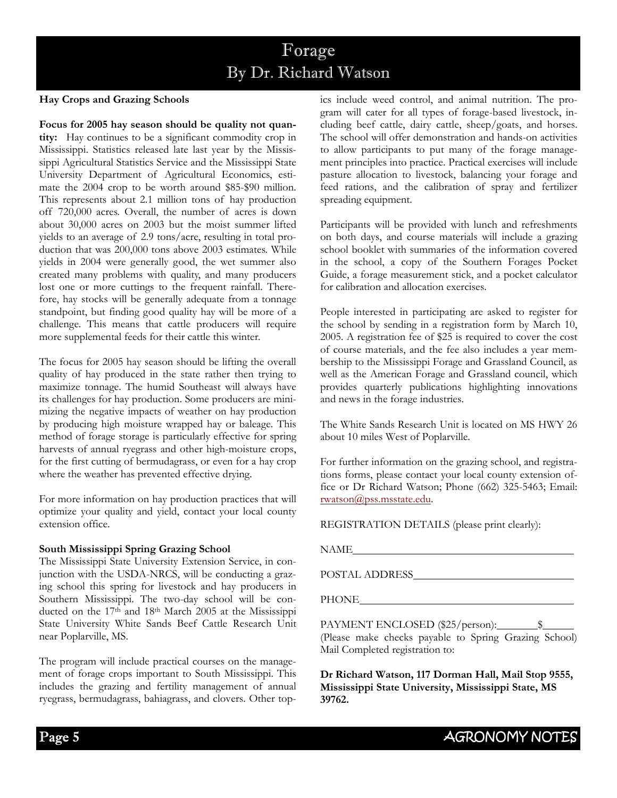# Forage By Dr. Richard Watson

#### **Hay Crops and Grazing Schools**

**Focus for 2005 hay season should be quality not quantity:** Hay continues to be a significant commodity crop in Mississippi. Statistics released late last year by the Mississippi Agricultural Statistics Service and the Mississippi State University Department of Agricultural Economics, estimate the 2004 crop to be worth around \$85-\$90 million. This represents about 2.1 million tons of hay production off 720,000 acres. Overall, the number of acres is down about 30,000 acres on 2003 but the moist summer lifted yields to an average of 2.9 tons/acre, resulting in total production that was 200,000 tons above 2003 estimates. While yields in 2004 were generally good, the wet summer also created many problems with quality, and many producers lost one or more cuttings to the frequent rainfall. Therefore, hay stocks will be generally adequate from a tonnage standpoint, but finding good quality hay will be more of a challenge. This means that cattle producers will require more supplemental feeds for their cattle this winter.

The focus for 2005 hay season should be lifting the overall quality of hay produced in the state rather then trying to maximize tonnage. The humid Southeast will always have its challenges for hay production. Some producers are minimizing the negative impacts of weather on hay production by producing high moisture wrapped hay or baleage. This method of forage storage is particularly effective for spring harvests of annual ryegrass and other high-moisture crops, for the first cutting of bermudagrass, or even for a hay crop where the weather has prevented effective drying.

For more information on hay production practices that will optimize your quality and yield, contact your local county extension office.

#### **South Mississippi Spring Grazing School**

The Mississippi State University Extension Service, in conjunction with the USDA-NRCS, will be conducting a grazing school this spring for livestock and hay producers in Southern Mississippi. The two-day school will be conducted on the 17th and 18th March 2005 at the Mississippi State University White Sands Beef Cattle Research Unit near Poplarville, MS.

The program will include practical courses on the management of forage crops important to South Mississippi. This includes the grazing and fertility management of annual ryegrass, bermudagrass, bahiagrass, and clovers. Other topics include weed control, and animal nutrition. The program will cater for all types of forage-based livestock, including beef cattle, dairy cattle, sheep/goats, and horses. The school will offer demonstration and hands-on activities to allow participants to put many of the forage management principles into practice. Practical exercises will include pasture allocation to livestock, balancing your forage and feed rations, and the calibration of spray and fertilizer spreading equipment.

Participants will be provided with lunch and refreshments on both days, and course materials will include a grazing school booklet with summaries of the information covered in the school, a copy of the Southern Forages Pocket Guide, a forage measurement stick, and a pocket calculator for calibration and allocation exercises.

People interested in participating are asked to register for the school by sending in a registration form by March 10, 2005. A registration fee of \$25 is required to cover the cost of course materials, and the fee also includes a year membership to the Mississippi Forage and Grassland Council, as well as the American Forage and Grassland council, which provides quarterly publications highlighting innovations and news in the forage industries.

The White Sands Research Unit is located on MS HWY 26 about 10 miles West of Poplarville.

For further information on the grazing school, and registrations forms, please contact your local county extension office or Dr Richard Watson; Phone (662) 325-5463; Email: rwatson@pss.msstate.edu.

REGISTRATION DETAILS (please print clearly):

NAME

POSTAL ADDRESS

PHONE

PAYMENT ENCLOSED (\$25/person): \[ \] (Please make checks payable to Spring Grazing School) Mail Completed registration to:

**Dr Richard Watson, 117 Dorman Hall, Mail Stop 9555, Mississippi State University, Mississippi State, MS 39762.**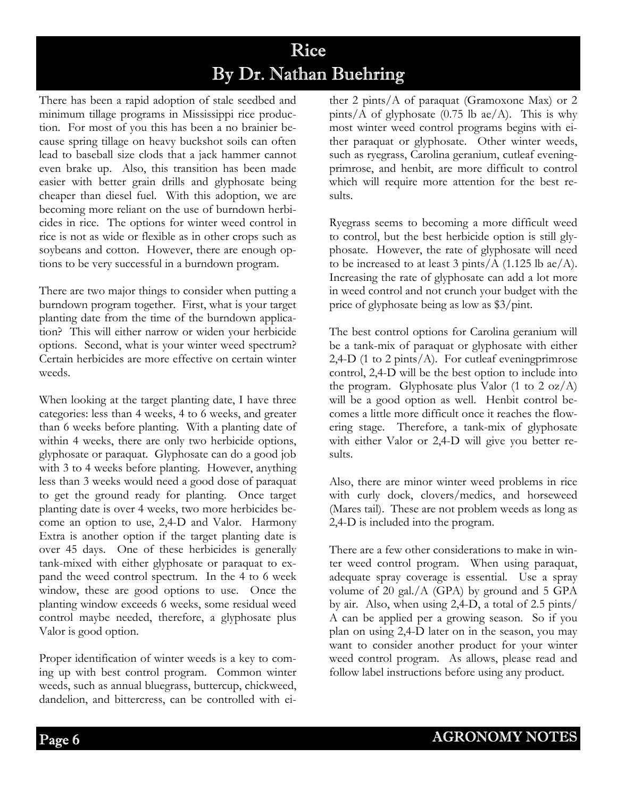# Rice By Dr. Nathan Buehring

There has been a rapid adoption of stale seedbed and minimum tillage programs in Mississippi rice production. For most of you this has been a no brainier because spring tillage on heavy buckshot soils can often lead to baseball size clods that a jack hammer cannot even brake up. Also, this transition has been made easier with better grain drills and glyphosate being cheaper than diesel fuel. With this adoption, we are becoming more reliant on the use of burndown herbicides in rice. The options for winter weed control in rice is not as wide or flexible as in other crops such as soybeans and cotton. However, there are enough options to be very successful in a burndown program.

There are two major things to consider when putting a burndown program together. First, what is your target planting date from the time of the burndown application? This will either narrow or widen your herbicide options. Second, what is your winter weed spectrum? Certain herbicides are more effective on certain winter weeds.

When looking at the target planting date, I have three categories: less than 4 weeks, 4 to 6 weeks, and greater than 6 weeks before planting. With a planting date of within 4 weeks, there are only two herbicide options, glyphosate or paraquat. Glyphosate can do a good job with 3 to 4 weeks before planting. However, anything less than 3 weeks would need a good dose of paraquat to get the ground ready for planting. Once target planting date is over 4 weeks, two more herbicides become an option to use, 2,4-D and Valor. Harmony Extra is another option if the target planting date is over 45 days. One of these herbicides is generally tank-mixed with either glyphosate or paraquat to expand the weed control spectrum. In the 4 to 6 week window, these are good options to use. Once the planting window exceeds 6 weeks, some residual weed control maybe needed, therefore, a glyphosate plus Valor is good option.

Proper identification of winter weeds is a key to coming up with best control program. Common winter weeds, such as annual bluegrass, buttercup, chickweed, dandelion, and bittercress, can be controlled with ei-

ther 2 pints/A of paraquat (Gramoxone Max) or 2 pints/A of glyphosate  $(0.75 \text{ lb } ae/A)$ . This is why most winter weed control programs begins with either paraquat or glyphosate. Other winter weeds, such as ryegrass, Carolina geranium, cutleaf eveningprimrose, and henbit, are more difficult to control which will require more attention for the best results.

Ryegrass seems to becoming a more difficult weed to control, but the best herbicide option is still glyphosate. However, the rate of glyphosate will need to be increased to at least 3 pints/ $A$  (1.125 lb ae/ $A$ ). Increasing the rate of glyphosate can add a lot more in weed control and not crunch your budget with the price of glyphosate being as low as \$3/pint.

The best control options for Carolina geranium will be a tank-mix of paraquat or glyphosate with either 2,4-D (1 to 2 pints/ $A$ ). For cutleaf evening primations control, 2,4-D will be the best option to include into the program. Glyphosate plus Valor  $(1 \text{ to } 2 \text{ oz}/A)$ will be a good option as well. Henbit control becomes a little more difficult once it reaches the flowering stage. Therefore, a tank-mix of glyphosate with either Valor or 2,4-D will give you better results.

Also, there are minor winter weed problems in rice with curly dock, clovers/medics, and horseweed (Mares tail). These are not problem weeds as long as 2,4-D is included into the program.

There are a few other considerations to make in winter weed control program. When using paraquat, adequate spray coverage is essential. Use a spray volume of 20 gal./A (GPA) by ground and 5 GPA by air. Also, when using 2,4-D, a total of 2.5 pints/ A can be applied per a growing season. So if you plan on using 2,4-D later on in the season, you may want to consider another product for your winter weed control program. As allows, please read and follow label instructions before using any product.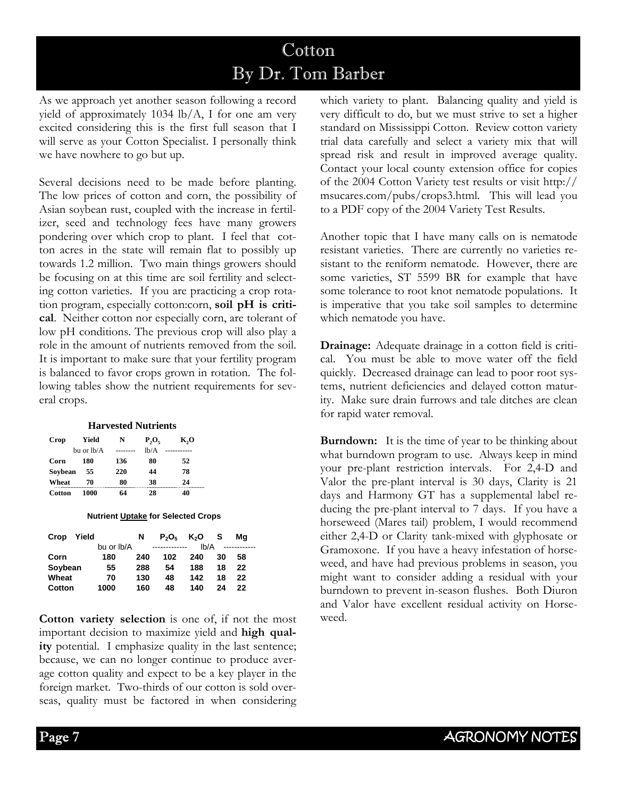# Cotton By Dr. Tom Barber

As we approach yet another season following a record yield of approximately 1034 lb/A, I for one am very excited considering this is the first full season that I will serve as your Cotton Specialist. I personally think we have nowhere to go but up.

Several decisions need to be made before planting. The low prices of cotton and corn, the possibility of Asian soybean rust, coupled with the increase in fertilizer, seed and technology fees have many growers pondering over which crop to plant. I feel that cotton acres in the state will remain flat to possibly up towards 1.2 million. Two main things growers should be focusing on at this time are soil fertility and selecting cotton varieties. If you are practicing a crop rotation program, especially cotton:corn, **soil pH is critical**. Neither cotton nor especially corn, are tolerant of low pH conditions. The previous crop will also play a role in the amount of nutrients removed from the soil. It is important to make sure that your fertility program is balanced to favor crops grown in rotation. The following tables show the nutrient requirements for several crops.

#### **Harvested Nutrients**

| Crop    | Yield      | N         | $P_2O_5$ | K,O |  |
|---------|------------|-----------|----------|-----|--|
|         | bu or lb/A | --------- | lh/A     |     |  |
| Corn    | 180        | 136       | 80       | 52  |  |
| Sovbean | 55         | 220       | 44       | 78  |  |
| Wheat   | 70         | 80        | 38       | 24  |  |
| Cotton  | 1000       | 64        | 28       | 40  |  |

#### **Nutrient Uptake for Selected Crops**

| Yield<br>Crop |            | N   | $P_2O_5$      | K <sub>2</sub> O | -S | Ma |  |
|---------------|------------|-----|---------------|------------------|----|----|--|
|               | bu or Ib/A |     | ------------- | Ib/A             |    |    |  |
| Corn          | 180        | 240 | 102           | 240              | 30 | 58 |  |
| Soybean       | 55         | 288 | 54            | 188              | 18 | 22 |  |
| Wheat         | 70         | 130 | 48            | 142              | 18 | 22 |  |
| Cotton        | 1000       | 160 | 48            | 140              | 24 | 22 |  |

**Cotton variety selection** is one of, if not the most important decision to maximize yield and **high quality** potential. I emphasize quality in the last sentence; because, we can no longer continue to produce average cotton quality and expect to be a key player in the foreign market. Two-thirds of our cotton is sold overseas, quality must be factored in when considering which variety to plant. Balancing quality and yield is very difficult to do, but we must strive to set a higher standard on Mississippi Cotton. Review cotton variety trial data carefully and select a variety mix that will spread risk and result in improved average quality. Contact your local county extension office for copies of the 2004 Cotton Variety test results or visit http:// msucares.com/pubs/crops3.html. This will lead you to a PDF copy of the 2004 Variety Test Results.

Another topic that I have many calls on is nematode resistant varieties. There are currently no varieties resistant to the reniform nematode. However, there are some varieties, ST 5599 BR for example that have some tolerance to root knot nematode populations. It is imperative that you take soil samples to determine which nematode you have.

**Drainage:** Adequate drainage in a cotton field is critical. You must be able to move water off the field quickly. Decreased drainage can lead to poor root systems, nutrient deficiencies and delayed cotton maturity. Make sure drain furrows and tale ditches are clean for rapid water removal.

**Burndown:** It is the time of year to be thinking about what burndown program to use. Always keep in mind your pre-plant restriction intervals. For 2,4-D and Valor the pre-plant interval is 30 days, Clarity is 21 days and Harmony GT has a supplemental label reducing the pre-plant interval to 7 days. If you have a horseweed (Mares tail) problem, I would recommend either 2,4-D or Clarity tank-mixed with glyphosate or Gramoxone. If you have a heavy infestation of horseweed, and have had previous problems in season, you might want to consider adding a residual with your burndown to prevent in-season flushes. Both Diuron and Valor have excellent residual activity on Horseweed.